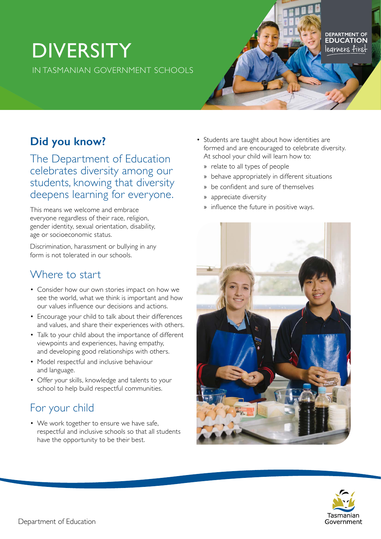# **DIVERSITY** IN TASMANIAN GOVERNMENT SCHOOLS

# **Did you know?**

The Department of Education celebrates diversity among our students, knowing that diversity deepens learning for everyone.

This means we welcome and embrace everyone regardless of their race, religion, gender identity, sexual orientation, disability, age or socioeconomic status.

Discrimination, harassment or bullying in any form is not tolerated in our schools.

#### Where to start

- Consider how our own stories impact on how we see the world, what we think is important and how our values influence our decisions and actions.
- Encourage your child to talk about their differences and values, and share their experiences with others.
- Talk to your child about the importance of different viewpoints and experiences, having empathy, and developing good relationships with others.
- Model respectful and inclusive behaviour and language.
- Offer your skills, knowledge and talents to your school to help build respectful communities.

## For your child

• We work together to ensure we have safe, respectful and inclusive schools so that all students have the opportunity to be their best.

• Students are taught about how identities are formed and are encouraged to celebrate diversity. At school your child will learn how to:

DEPARTMENT OF<br>**EDUCATION** legrners first

- » relate to all types of people
- » behave appropriately in different situations
- » be confident and sure of themselves
- » appreciate diversity
- » influence the future in positive ways.